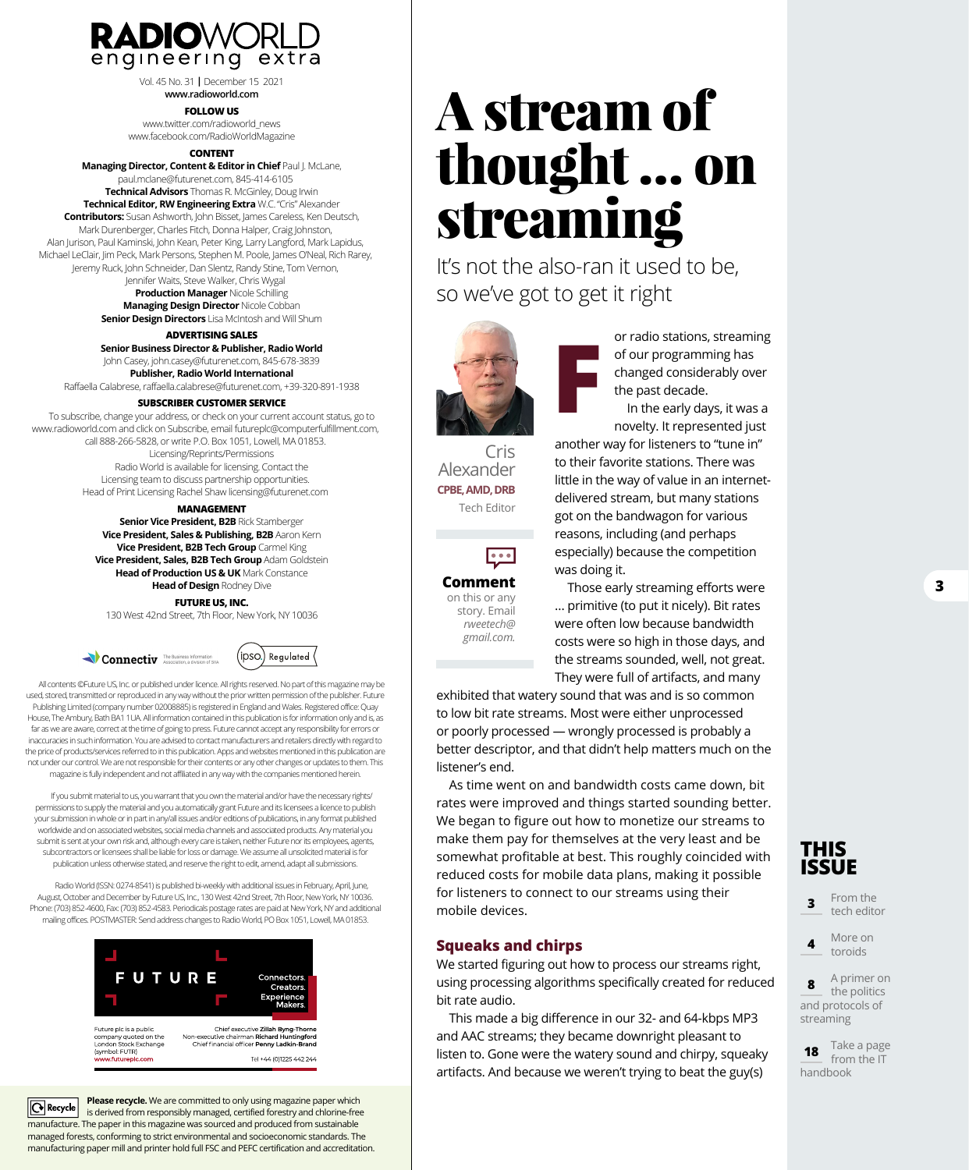

Vol. 45 No. 31 **|** December 15 2021 **[www.radioworld.com](http://www.radioworld.com)** 

#### **FOLLOW US**

[www.twitter.com/radioworld\\_news](http://www.twitter.com/radioworld_news) [www.facebook.com/RadioWorldMagazine](http://www.facebook.com/RadioWorldMagazine) 

#### **CONTENT**

**Managing Director, Content & Editor in Chief** Paul J. McLane, [paul.mclane@futurenet.com, 84](mailto:paul.mclane@futurenet.com)5-414-6105 **Technical Advisors** Thomas R. McGinley, Doug Irwin **Technical Editor, RW Engineering Extra** W.C. "Cris" Alexander **Contributors:** Susan Ashworth, John Bisset, James Careless, Ken Deutsch, Mark Durenberger, Charles Fitch, Donna Halper, Craig Johnston, Alan Jurison, Paul Kaminski, John Kean, Peter King, Larry Langford, Mark Lapidus, Michael LeClair, Jim Peck, Mark Persons, Stephen M. Poole, James O'Neal, Rich Rarey, Jeremy Ruck, John Schneider, Dan Slentz, Randy Stine, Tom Vernon,

> Jennifer Waits, Steve Walker, Chris Wygal **Production Manager** Nicole Schilling **Managing Design Director** Nicole Cobban

**Senior Design Directors** Lisa McIntosh and Will Shum

#### **ADVERTISING SALES**

**Senior Business Director & Publisher, Radio World** John Casey, [john.casey@futurenet.com, 84](mailto:john.casey@futurenet.com)5-678-3839 **Publisher, Radio World International**

Raffaella Calabrese, [raffaella.calabrese@futurenet.com, +3](mailto:raffaella.calabrese@futurenet.com)9-320-891-1938

#### **SUBSCRIBER CUSTOMER SERVICE**

To subscribe, change your address, or check on your current account status, go to [www.radioworld.com an](http://www.radioworld.com)d click on Subscribe, email futurepl[c@computerfulfillment.com](mailto:futureplc%40computerfulfillment.com?subject=subscription), call 888-266-5828, or write P.O. Box 1051, Lowell, MA 01853. Licensing/Reprints/Permissions Radio World is available for licensing. Contact the Licensing team to discuss partnership opportunities. Head of Print Licensing Rachel Shaw [licensing@futurenet.com](mailto:licensing@futurenet.com)

#### **MANAGEMENT**

**Senior Vice President, B2B** Rick Stamberger **Vice President, Sales & Publishing, B2B** Aaron Kern **Vice President, B2B Tech Group** Carmel King **Vice President, Sales, B2B Tech Group** Adam Goldstein **Head of Production US & UK** Mark Constance **Head of Design** Rodney Dive

#### **FUTURE US, INC.**

130 West 42nd Street, 7th Floor, New York, NY 10036





All contents ©Future US, Inc. or published under licence. All rights reserved. No part of this magazine may be used, stored, transmitted or reproduced in any way without the prior written permission of the publisher. Future Publishing Limited (company number 02008885) is registered in England and Wales. Registered office: Quay House, The Ambury, Bath BA1 1UA. All information contained in this publication is for information only and is, as far as we are aware, correct at the time of going to press. Future cannot accept any responsibility for errors or inaccuracies in such information. You are advised to contact manufacturers and retailers directly with regard to the price of products/services referred to in this publication. Apps and websites mentioned in this publication are not under our control. We are not responsible for their contents or any other changes or updates to them. This magazine is fully independent and not affiliated in any way with the companies mentioned herein.

If you submit material to us, you warrant that you own the material and/or have the necessary rights/ permissions to supply the material and you automatically grant Future and its licensees a licence to publish your submission in whole or in part in any/all issues and/or editions of publications, in any format published worldwide and on associated websites, social media channels and associated products. Any material you submit is sent at your own risk and, although every care is taken, neither Future nor its employees, agents, subcontractors or licensees shall be liable for loss or damage. We assume all unsolicited material is for publication unless otherwise stated, and reserve the right to edit, amend, adapt all submissions.

Radio World (ISSN: 0274-8541) is published bi-weekly with additional issues in February, April, June, August, October and December by Future US, Inc., 130 West 42nd Street, 7th Floor, New York, NY 10036. Phone: (703) 852-4600, Fax: (703) 852-4583. Periodicals postage rates are paid at New York, NY and additional mailing offices. POSTMASTER: Send address changes to Radio World, PO Box 1051, Lowell, MA 01853.



**Please recycle.** We are committed to only using magazine paper which  $\boxed{\bigodot}$  Recycle is derived from responsibly managed, certified forestry and chlorine-free manufacture. The paper in this magazine was sourced and produced from sustainable managed forests, conforming to strict environmental and socioeconomic standards. The manufacturing paper mill and printer hold full FSC and PEFC certification and accreditation.

# A stream of thought … on streaming

It's not the also-ran it used to be, so we've got to get it right



Cris Alexander **CPBE, AMD, DRB** Tech Editor

 $\bullet\bullet\bullet$ 

**Comment** on this or any story. Email *rweetech@ gmail.com.*

or radio stations, streaming of our programming has changed considerably over the past decade. In the early days, it was a

novelty. It represented just another way for listeners to "tune in"

to their favorite stations. There was little in the way of value in an internetdelivered stream, but many stations got on the bandwagon for various reasons, including (and perhaps especially) because the competition was doing it.

Those early streaming efforts were … primitive (to put it nicely). Bit rates were often low because bandwidth costs were so high in those days, and the streams sounded, well, not great. They were full of artifacts, and many

exhibited that watery sound that was and is so common to low bit rate streams. Most were either unprocessed or poorly processed — wrongly processed is probably a better descriptor, and that didn't help matters much on the listener's end.

As time went on and bandwidth costs came down, bit rates were improved and things started sounding better. We began to figure out how to monetize our streams to make them pay for themselves at the very least and be somewhat profitable at best. This roughly coincided with reduced costs for mobile data plans, making it possible for listeners to connect to our streams using their mobile devices.

#### **Squeaks and chirps**

We started figuring out how to process our streams right, using processing algorithms specifically created for reduced bit rate audio.

This made a big difference in our 32- and 64-kbps MP3 and AAC streams; they became downright pleasant to listen to. Gone were the watery sound and chirpy, squeaky artifacts. And because we weren't trying to beat the guy(s)



**3** From the tech editor

**4** More on toroids

**8** A primer on **Cu** the politics and protocols of<br>streaming streaming

**18** Take a page **x** fron<br>handbook from the IT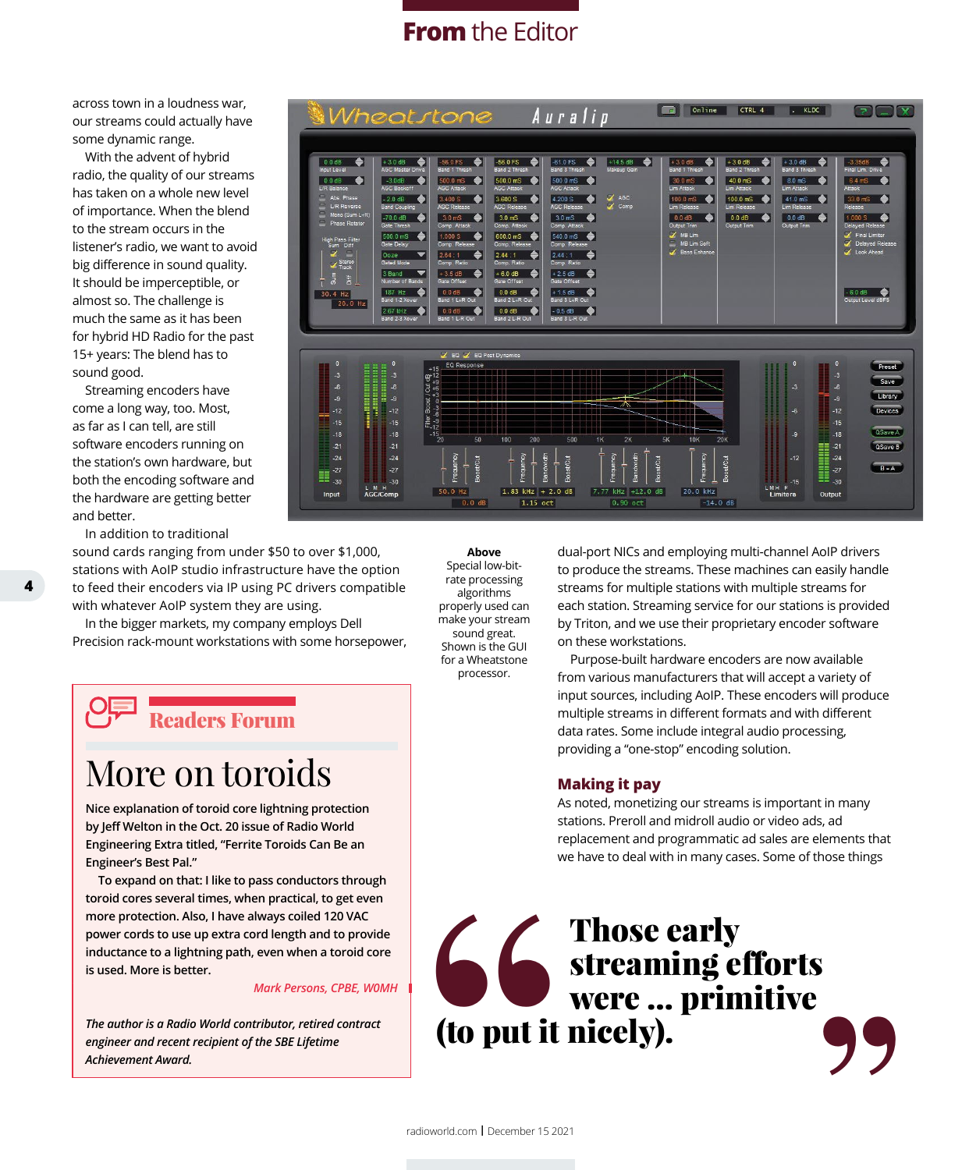## **From** the Editor

across town in a loudness war, our streams could actually have some dynamic range.

With the advent of hybrid radio, the quality of our streams has taken on a whole new level of importance. When the blend to the stream occurs in the listener's radio, we want to avoid big difference in sound quality. It should be imperceptible, or almost so. The challenge is much the same as it has been for hybrid HD Radio for the past 15+ years: The blend has to sound good.

Streaming encoders have come a long way, too. Most, as far as I can tell, are still software encoders running on the station's own hardware, but both the encoding software and the hardware are getting better and better.

In addition to traditional

sound cards ranging from under \$50 to over \$1,000, stations with AoIP studio infrastructure have the option to feed their encoders via IP using PC drivers compatible with whatever AoIP system they are using.

In the bigger markets, my company employs Dell Precision rack-mount workstations with some horsepower,

Readers Forum

# More on toroids

**Nice explanation of toroid core lightning protection by Jeff Welton in the Oct. 20 issue of Radio World Engineering Extra titled, "Ferrite Toroids Can Be an Engineer's Best Pal."**

**To expand on that: I like to pass conductors through toroid cores several times, when practical, to get even more protection. Also, I have always coiled 120 VAC power cords to use up extra cord length and to provide inductance to a lightning path, even when a toroid core is used. More is better.**

#### *Mark Persons, CPBE, W0MH*

*The author is a Radio World contributor, retired contract engineer and recent recipient of the SBE Lifetime Achievement Award.*



**Above** Special low-bitrate processing algorithms properly used can make your stream sound great. Shown is the GUI for a Wheatstone processor.

dual-port NICs and employing multi-channel AoIP drivers to produce the streams. These machines can easily handle streams for multiple stations with multiple streams for each station. Streaming service for our stations is provided by Triton, and we use their proprietary encoder software on these workstations.

Purpose-built hardware encoders are now available from various manufacturers that will accept a variety of input sources, including AoIP. These encoders will produce multiple streams in different formats and with different data rates. Some include integral audio processing, providing a "one-stop" encoding solution.

#### **Making it pay**

As noted, monetizing our streams is important in many stations. Preroll and midroll audio or video ads, ad replacement and programmatic ad sales are elements that we have to deal with in many cases. Some of those things